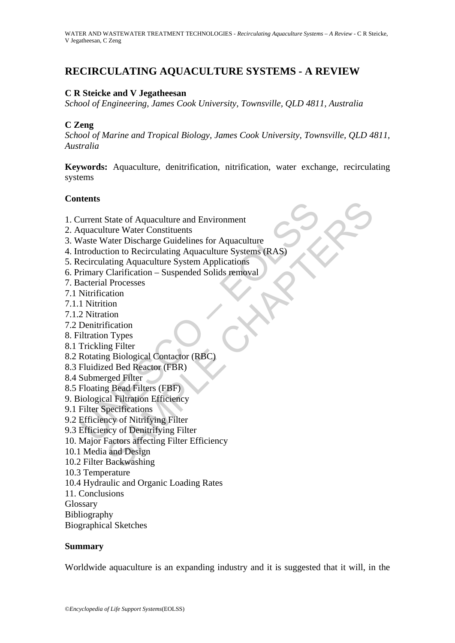# **RECIRCULATING AQUACULTURE SYSTEMS - A REVIEW**

## **C R Steicke and V Jegatheesan**

*School of Engineering, James Cook University, Townsville, QLD 4811, Australia* 

### **C Zeng**

*School of Marine and Tropical Biology, James Cook University, Townsville, QLD 4811, Australia*

**Keywords:** Aquaculture, denitrification, nitrification, water exchange, recirculating systems

### **Contents**

- 1. Current State of Aquaculture and Environment
- 2. Aquaculture Water Constituents
- 3. Waste Water Discharge Guidelines for Aquaculture
- The State of Aquaculture and Environment<br>
quaculture Water Constituents<br>
quaculture Water Discharge Guidelines for Aquaculture<br>
traduction to Recirculating Aquaculture Systems (RAS)<br>
ecirculating Aquaculture System Applica State of Aquaculture and Environment<br>
ture Water Constituents<br>
Vater Discharge Guidelines for Aquaculture<br>
(ion to Recirculating Aquaculture Systems (RAS)<br>
Elarification – Suspended Solids removal<br>
Clarification – Suspende 4. Introduction to Recirculating Aquaculture Systems (RAS)
- 5. Recirculating Aquaculture System Applications
- 6. Primary Clarification Suspended Solids removal
- 7. Bacterial Processes
- 7.1 Nitrification
- 7.1.1 Nitrition
- 7.1.2 Nitration
- 7.2 Denitrification
- 8. Filtration Types
- 8.1 Trickling Filter
- 8.2 Rotating Biological Contactor (RBC)
- 8.3 Fluidized Bed Reactor (FBR)
- 8.4 Submerged Filter
- 8.5 Floating Bead Filters (FBF)
- 9. Biological Filtration Efficiency
- 9.1 Filter Specifications
- 9.2 Efficiency of Nitrifying Filter
- 9.3 Efficiency of Denitrifying Filter
- 10. Major Factors affecting Filter Efficiency
- 10.1 Media and Design
- 10.2 Filter Backwashing
- 10.3 Temperature
- 10.4 Hydraulic and Organic Loading Rates
- 11. Conclusions
- Glossary
- Bibliography
- Biographical Sketches

### **Summary**

Worldwide aquaculture is an expanding industry and it is suggested that it will, in the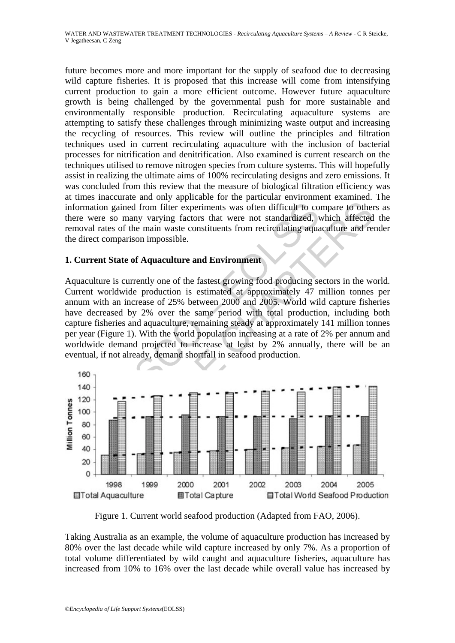future becomes more and more important for the supply of seafood due to decreasing wild capture fisheries. It is proposed that this increase will come from intensifying current production to gain a more efficient outcome. However future aquaculture growth is being challenged by the governmental push for more sustainable and environmentally responsible production. Recirculating aquaculture systems are attempting to satisfy these challenges through minimizing waste output and increasing the recycling of resources. This review will outline the principles and filtration techniques used in current recirculating aquaculture with the inclusion of bacterial processes for nitrification and denitrification. Also examined is current research on the techniques utilised to remove nitrogen species from culture systems. This will hopefully assist in realizing the ultimate aims of 100% recirculating designs and zero emissions. It was concluded from this review that the measure of biological filtration efficiency was at times inaccurate and only applicable for the particular environment examined. The information gained from filter experiments was often difficult to compare to others as there were so many varying factors that were not standardized, which affected the removal rates of the main waste constituents from recirculating aquaculture and render the direct comparison impossible.

## **1. Current State of Aquaculture and Environment**

rmation gained from filter experiments was often difficult to co<br>
e were so many varying factors that were not standardized, voval rates of the main waste constituents from recirculating aqual<br>
direct comparison impossibl Aquaculture is currently one of the fastest growing food producing sectors in the world. Current worldwide production is estimated at approximately 47 million tonnes per annum with an increase of 25% between 2000 and 2005. World wild capture fisheries have decreased by 2% over the same period with total production, including both capture fisheries and aquaculture, remaining steady at approximately 141 million tonnes per year (Figure 1). With the world population increasing at a rate of 2% per annum and worldwide demand projected to increase at least by 2% annually, there will be an eventual, if not already, demand shortfall in seafood production.



Figure 1. Current world seafood production (Adapted from FAO, 2006).

Taking Australia as an example, the volume of aquaculture production has increased by 80% over the last decade while wild capture increased by only 7%. As a proportion of total volume differentiated by wild caught and aquaculture fisheries, aquaculture has increased from 10% to 16% over the last decade while overall value has increased by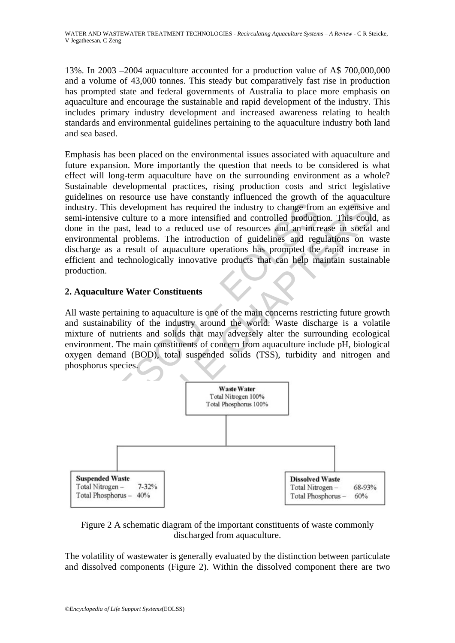13%. In 2003 –2004 aquaculture accounted for a production value of A\$ 700,000,000 and a volume of 43,000 tonnes. This steady but comparatively fast rise in production has prompted state and federal governments of Australia to place more emphasis on aquaculture and encourage the sustainable and rapid development of the industry. This includes primary industry development and increased awareness relating to health standards and environmental guidelines pertaining to the aquaculture industry both land and sea based.

Interior Constituent and solid statement and the model of the matter of the method of the method of the method is the method of the past, lead to a reduced use of resources and an incrimental problems. The introduction of Emphasis has been placed on the environmental issues associated with aquaculture and future expansion. More importantly the question that needs to be considered is what effect will long-term aquaculture have on the surrounding environment as a whole? Sustainable developmental practices, rising production costs and strict legislative guidelines on resource use have constantly influenced the growth of the aquaculture industry. This development has required the industry to change from an extensive and semi-intensive culture to a more intensified and controlled production. This could, as done in the past, lead to a reduced use of resources and an increase in social and environmental problems. The introduction of guidelines and regulations on waste discharge as a result of aquaculture operations has prompted the rapid increase in efficient and technologically innovative products that can help maintain sustainable production.

## **2. Aquaculture Water Constituents**

All waste pertaining to aquaculture is one of the main concerns restricting future growth and sustainability of the industry around the world. Waste discharge is a volatile mixture of nutrients and solids that may adversely alter the surrounding ecological environment. The main constituents of concern from aquaculture include pH, biological oxygen demand (BOD), total suspended solids (TSS), turbidity and nitrogen and phosphorus species.





The volatility of wastewater is generally evaluated by the distinction between particulate and dissolved components (Figure 2). Within the dissolved component there are two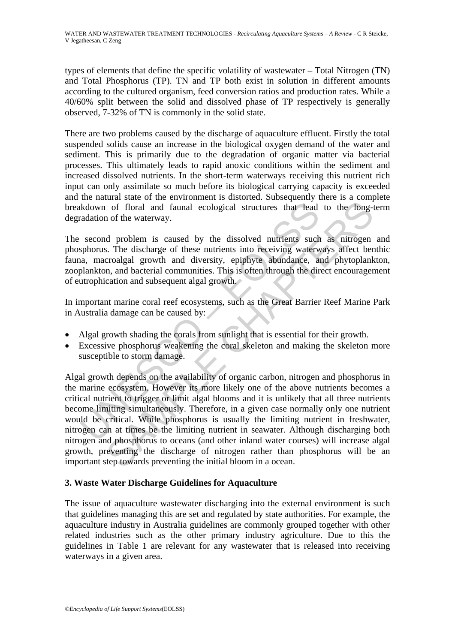types of elements that define the specific volatility of wastewater – Total Nitrogen (TN) and Total Phosphorus (TP). TN and TP both exist in solution in different amounts according to the cultured organism, feed conversion ratios and production rates. While a 40/60% split between the solid and dissolved phase of TP respectively is generally observed, 7-32% of TN is commonly in the solid state.

There are two problems caused by the discharge of aquaculture effluent. Firstly the total suspended solids cause an increase in the biological oxygen demand of the water and sediment. This is primarily due to the degradation of organic matter via bacterial processes. This ultimately leads to rapid anoxic conditions within the sediment and increased dissolved nutrients. In the short-term waterways receiving this nutrient rich input can only assimilate so much before its biological carrying capacity is exceeded and the natural state of the environment is distorted. Subsequently there is a complete breakdown of floral and faunal ecological structures that lead to the long-term degradation of the waterway.

The second problem is caused by the dissolved nutrients such as nitrogen and phosphorus. The discharge of these nutrients into receiving waterways affect benthic fauna, macroalgal growth and diversity, epiphyte abundance, and phytoplankton, zooplankton, and bacterial communities. This is often through the direct encouragement of eutrophication and subsequent algal growth.

In important marine coral reef ecosystems, such as the Great Barrier Reef Marine Park in Australia damage can be caused by:

- Algal growth shading the corals from sunlight that is essential for their growth.
- Excessive phosphorus weakening the coral skeleton and making the skeleton more susceptible to storm damage.

kdown of floral and faunal ecological structures that lead<br>radation of the waterway.<br>second problem is caused by the dissolved nutrients such<br>phorus. The discharge of these nutrients into receiving waterway,<br>and macroalgal of floral and faunal ecological structures that lead to the long-<br>of floral and faunal ecological structures that lead to the long-<br>of the waterway.<br>A problem is caused by the dissolved nutrients such as nitrogen<br>s. The di Algal growth depends on the availability of organic carbon, nitrogen and phosphorus in the marine ecosystem. However its more likely one of the above nutrients becomes a critical nutrient to trigger or limit algal blooms and it is unlikely that all three nutrients become limiting simultaneously. Therefore, in a given case normally only one nutrient would be critical. While phosphorus is usually the limiting nutrient in freshwater, nitrogen can at times be the limiting nutrient in seawater. Although discharging both nitrogen and phosphorus to oceans (and other inland water courses) will increase algal growth, preventing the discharge of nitrogen rather than phosphorus will be an important step towards preventing the initial bloom in a ocean.

## **3. Waste Water Discharge Guidelines for Aquaculture**

The issue of aquaculture wastewater discharging into the external environment is such that guidelines managing this are set and regulated by state authorities. For example, the aquaculture industry in Australia guidelines are commonly grouped together with other related industries such as the other primary industry agriculture. Due to this the guidelines in Table 1 are relevant for any wastewater that is released into receiving waterways in a given area.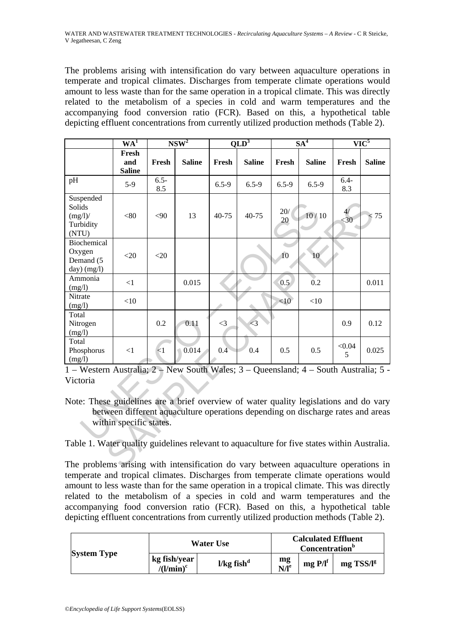The problems arising with intensification do vary between aquaculture operations in temperate and tropical climates. Discharges from temperate climate operations would amount to less waste than for the same operation in a tropical climate. This was directly related to the metabolism of a species in cold and warm temperatures and the accompanying food conversion ratio (FCR). Based on this, a hypothetical table depicting effluent concentrations from currently utilized production methods (Table 2).

|                                                                                                                                                                                                                                                                              | WA <sup>1</sup>               | NSW <sup>2</sup> |               | $QLD^3$   |               | SA <sup>4</sup> |                 | $\overline{\text{VIC}^5}$ |               |
|------------------------------------------------------------------------------------------------------------------------------------------------------------------------------------------------------------------------------------------------------------------------------|-------------------------------|------------------|---------------|-----------|---------------|-----------------|-----------------|---------------------------|---------------|
|                                                                                                                                                                                                                                                                              | Fresh<br>and<br><b>Saline</b> | Fresh            | <b>Saline</b> | Fresh     | <b>Saline</b> | Fresh           | <b>Saline</b>   | Fresh                     | <b>Saline</b> |
| pH                                                                                                                                                                                                                                                                           | $5-9$                         | $6.5 -$<br>8.5   |               | $6.5 - 9$ | $6.5 - 9$     | $6.5 - 9$       | $6.5 - 9$       | $6.4 -$<br>8.3            |               |
| Suspended<br>Solids<br>$(mg/l)$ /<br>Turbidity<br>(NTU)                                                                                                                                                                                                                      | < 80                          | < 90             | 13            | 40-75     | 40-75         | $20/$<br>20     | 10/10           | $\langle 30$              | < 75          |
| Biochemical<br>Oxygen<br>Demand (5<br>day) (mg/l)                                                                                                                                                                                                                            | $<$ 20                        | $<$ 20           |               |           |               | 10              | 10 <sub>1</sub> |                           |               |
| Ammonia<br>(mg/l)                                                                                                                                                                                                                                                            | $<$ 1                         |                  | 0.015         |           |               | 0.5             | 0.2             |                           | 0.011         |
| Nitrate<br>(mg/l)                                                                                                                                                                                                                                                            | <10                           |                  |               |           |               | <10             | $<$ 10          |                           |               |
| Total<br>Nitrogen<br>(mg/l)                                                                                                                                                                                                                                                  |                               | 0.2              | 0.11          | $\leq$ 3  | $\leq$ 3      |                 |                 | 0.9                       | 0.12          |
| Total<br>Phosphorus<br>(mg/l)                                                                                                                                                                                                                                                | <1                            | $\leq 1$         | 0.014         | 0.4       | 0.4           | 0.5             | 0.5             | < 0.04<br>5               | 0.025         |
| 1 – Western Australia; 2 – New South Wales; 3 – Queensland; 4 – South Australia; 5 -<br>Victoria<br>Note: These guidelines are a brief overview of water quality legislations and do vary<br>between different aquaculture operations depending on discharge rates and areas |                               |                  |               |           |               |                 |                 |                           |               |
| within specific states.<br>Table 1. Water quality guidelines relevant to aquaculture for five states within Australia.                                                                                                                                                       |                               |                  |               |           |               |                 |                 |                           |               |
| The problems arising with intensification do vary between aquaculture operations in                                                                                                                                                                                          |                               |                  |               |           |               |                 |                 |                           |               |

The problems arising with intensification do vary between aquaculture operations in temperate and tropical climates. Discharges from temperate climate operations would amount to less waste than for the same operation in a tropical climate. This was directly related to the metabolism of a species in cold and warm temperatures and the accompanying food conversion ratio (FCR). Based on this, a hypothetical table depicting effluent concentrations from currently utilized production methods (Table 2).

| <b>System Type</b> | <b>Water Use</b>                           |                          |                        | <b>Calculated Effluent</b><br><b>Concentration</b> <sup>b</sup> |                |  |  |
|--------------------|--------------------------------------------|--------------------------|------------------------|-----------------------------------------------------------------|----------------|--|--|
|                    | kg fish/year<br>/(l/ $\min$ ) <sup>c</sup> | $1/kg$ fish <sup>d</sup> | mg<br>N/I <sup>e</sup> | $mgP/I^f$                                                       | $mg$ TSS/ $Ig$ |  |  |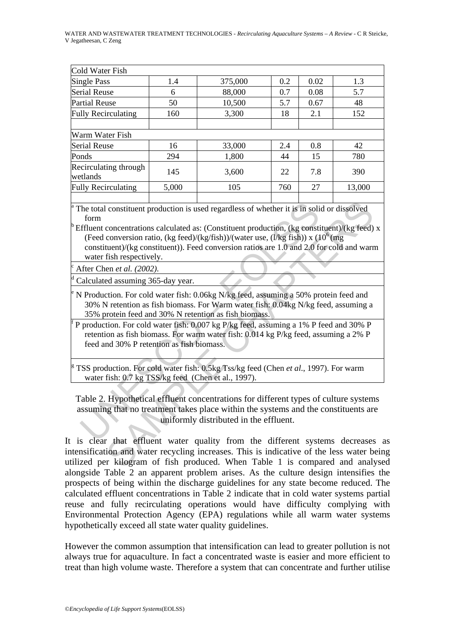#### WATER AND WASTEWATER TREATMENT TECHNOLOGIES - *Recirculating Aquaculture Systems – A Review* - C R Steicke, V Jegatheesan, C Zeng

| Cold Water Fish                   |       |         |     |      |        |  |  |
|-----------------------------------|-------|---------|-----|------|--------|--|--|
| <b>Single Pass</b>                | 1.4   | 375,000 | 0.2 | 0.02 | 1.3    |  |  |
| <b>Serial Reuse</b>               | 6     | 88,000  | 0.7 | 0.08 | 5.7    |  |  |
| <b>Partial Reuse</b>              | 50    | 10,500  | 5.7 | 0.67 | 48     |  |  |
| <b>Fully Recirculating</b>        | 160   | 3,300   | 18  | 2.1  | 152    |  |  |
|                                   |       |         |     |      |        |  |  |
| Warm Water Fish                   |       |         |     |      |        |  |  |
| <b>Serial Reuse</b>               | 16    | 33,000  | 2.4 | 0.8  | 42     |  |  |
| Ponds                             | 294   | 1,800   | 44  | 15   | 780    |  |  |
| Recirculating through<br>wetlands | 145   | 3,600   | 22  | 7.8  | 390    |  |  |
| <b>Fully Recirculating</b>        | 5,000 | 105     | 760 | 27   | 13,000 |  |  |
|                                   |       |         |     |      |        |  |  |

<sup>a</sup> The total constituent production is used regardless of whether it is in solid or dissolved form

The total constituent production is used regardless of whether it is in solid<br>form<br>fiftuent concentrations calculated as: (Constituent production, (kg constituent)/(kg constituent)). Feed conversion ratios, are 1.0 and 2. constituent production is used regardless of whether it is in solid or dissolved<br>concentrations calculated as: (Constituent production, (kg constituent)/(kg feed)<br>conversion ratio, (kg feed)/(kg/fish))/(water use, (*l/*kg  $b$ <sup>Effluent</sup> concentrations calculated as: (Constituent production, (kg constituent)/(kg feed) x (Feed conversion ratio, (kg feed)/(kg/fish))/(water use, (l/kg fish)) x ( $10^6$ (mg) constituent)/(kg constituent)). Feed conversion ratios are 1.0 and 2.0 for cold and warm water fish respectively.

After Chen *et al. (2002).*

d Calculated assuming 365-day year.

e N Production. For cold water fish: 0.06kg N/kg feed, assuming a 50% protein feed and 30% N retention as fish biomass. For Warm water fish: 0.04kg N/kg feed, assuming a 35% protein feed and 30% N retention as fish biomass.

f P production. For cold water fish: 0.007 kg P/kg feed, assuming a 1% P feed and 30% P retention as fish biomass. For warm water fish: 0.014 kg P/kg feed, assuming a 2% P feed and 30% P retention as fish biomass.

<sup>g</sup> TSS production. For cold water fish: 0.5kg Tss/kg feed (Chen *et al.*, 1997). For warm water fish: 0.7 kg TSS/kg feed (Chen et al., 1997).

Table 2. Hypothetical effluent concentrations for different types of culture systems assuming that no treatment takes place within the systems and the constituents are uniformly distributed in the effluent.

It is clear that effluent water quality from the different systems decreases as intensification and water recycling increases. This is indicative of the less water being utilized per kilogram of fish produced. When Table 1 is compared and analysed alongside Table 2 an apparent problem arises. As the culture design intensifies the prospects of being within the discharge guidelines for any state become reduced. The calculated effluent concentrations in Table 2 indicate that in cold water systems partial reuse and fully recirculating operations would have difficulty complying with Environmental Protection Agency (EPA) regulations while all warm water systems hypothetically exceed all state water quality guidelines.

However the common assumption that intensification can lead to greater pollution is not always true for aquaculture. In fact a concentrated waste is easier and more efficient to treat than high volume waste. Therefore a system that can concentrate and further utilise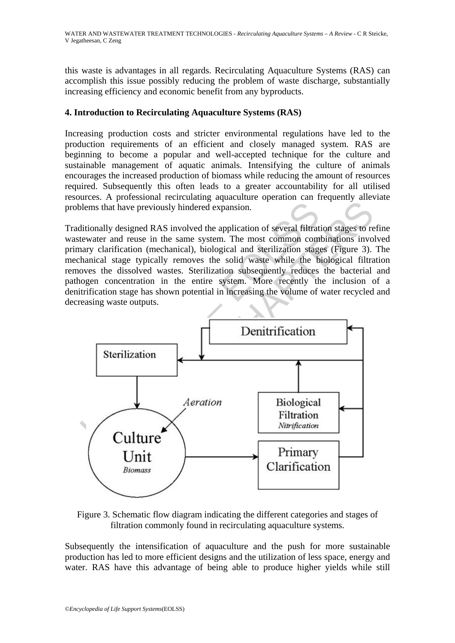this waste is advantages in all regards. Recirculating Aquaculture Systems (RAS) can accomplish this issue possibly reducing the problem of waste discharge, substantially increasing efficiency and economic benefit from any byproducts.

## **4. Introduction to Recirculating Aquaculture Systems (RAS)**

Increasing production costs and stricter environmental regulations have led to the production requirements of an efficient and closely managed system. RAS are beginning to become a popular and well-accepted technique for the culture and sustainable management of aquatic animals. Intensifying the culture of animals encourages the increased production of biomass while reducing the amount of resources required. Subsequently this often leads to a greater accountability for all utilised resources. A professional recirculating aquaculture operation can frequently alleviate problems that have previously hindered expansion.

Traditionally designed RAS involved the application of several filtration stages to refine wastewater and reuse in the same system. The most common combinations involved primary clarification (mechanical), biological and sterilization stages (Figure 3). The mechanical stage typically removes the solid waste while the biological filtration removes the dissolved wastes. Sterilization subsequently reduces the bacterial and pathogen concentration in the entire system. More recently the inclusion of a denitrification stage has shown potential in increasing the volume of water recycled and decreasing waste outputs.



Figure 3. Schematic flow diagram indicating the different categories and stages of filtration commonly found in recirculating aquaculture systems.

Subsequently the intensification of aquaculture and the push for more sustainable production has led to more efficient designs and the utilization of less space, energy and water. RAS have this advantage of being able to produce higher yields while still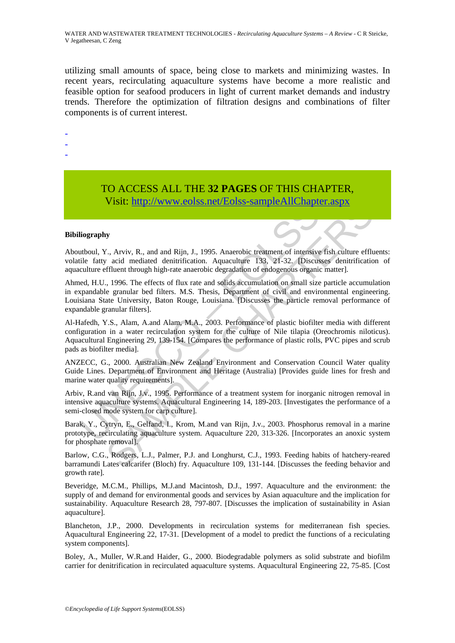utilizing small amounts of space, being close to markets and minimizing wastes. In recent years, recirculating aquaculture systems have become a more realistic and feasible option for seafood producers in light of current market demands and industry trends. Therefore the optimization of filtration designs and combinations of filter components is of current interest.

- -
- -
- -

# TO ACCESS ALL THE **32 PAGES** OF THIS CHAPTER, Visit: http://www.eolss.net/Eolss-sampleAllChapter.aspx

#### **Bibiliography**

Aboutboul, Y., Arviv, R., and and Rijn, J., 1995. Anaerobic treatment of intensive fish culture effluents: volatile fatty acid mediated denitrification. Aquaculture 133, 21-32. [Discusses denitrification of aquaculture effluent through high-rate anaerobic degradation of endogenous organic matter].

VISIT: **IIII**P://WWW.eOISS.het/EOISS-sampleAilChapta<br>
liography<br>
utboul, Y., Arviv, R., and and Rijn, J., 1995. Anaerobic treatment of intensive<br>
uile fatty acid mediated denitrification. Aquaculture 133, 21-32. [Discus<br>
c **VISIL: http://www.eolss.net/EOIss-sampleAllChapter.aspx**<br>
C., Arviv, R., and and Rijn, J., 1995. Anaerobic treatment of intensive fish culture efflu<br>
acid mediated denitrification. Aquaculture 133. 21-32. (Discusses de Ahmed, H.U., 1996. The effects of flux rate and solids accumulation on small size particle accumulation in expandable granular bed filters. M.S. Thesis, Department of civil and environmental engineering. Louisiana State University, Baton Rouge, Louisiana. [Discusses the particle removal performance of expandable granular filters].

Al-Hafedh, Y.S., Alam, A.and Alam, M.A., 2003. Performance of plastic biofilter media with different configuration in a water recirculation system for the culture of Nile tilapia (Oreochromis niloticus). Aquacultural Engineering 29, 139-154. [Compares the performance of plastic rolls, PVC pipes and scrub pads as biofilter media].

ANZECC, G., 2000. Australian New Zealand Environment and Conservation Council Water quality Guide Lines. Department of Environment and Heritage (Australia) [Provides guide lines for fresh and marine water quality requirements].

Arbiv, R.and van Rijn, J.v., 1995. Performance of a treatment system for inorganic nitrogen removal in intensive aquaculture systems. Aquacultural Engineering 14, 189-203. [Investigates the performance of a semi-closed mode system for carp culture].

Barak, Y., Cytryn, E., Gelfand, I., Krom, M.and van Rijn, J.v., 2003. Phosphorus removal in a marine prototype, recirculating aquaculture system. Aquaculture 220, 313-326. [Incorporates an anoxic system for phosphate removal].

Barlow, C.G., Rodgers, L.J., Palmer, P.J. and Longhurst, C.J., 1993. Feeding habits of hatchery-reared barramundi Lates calcarifer (Bloch) fry. Aquaculture 109, 131-144. [Discusses the feeding behavior and growth rate].

Beveridge, M.C.M., Phillips, M.J.and Macintosh, D.J., 1997. Aquaculture and the environment: the supply of and demand for environmental goods and services by Asian aquaculture and the implication for sustainability. Aquaculture Research 28, 797-807. [Discusses the implication of sustainability in Asian aquaculture].

Blancheton, J.P., 2000. Developments in recirculation systems for mediterranean fish species. Aquacultural Engineering 22, 17-31. [Development of a model to predict the functions of a reciculating system components].

Boley, A., Muller, W.R.and Haider, G., 2000. Biodegradable polymers as solid substrate and biofilm carrier for denitrification in recirculated aquaculture systems. Aquacultural Engineering 22, 75-85. [Cost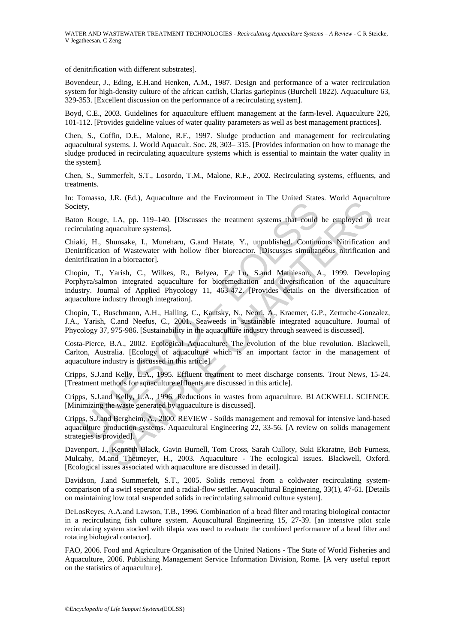of denitrification with different substrates].

Bovendeur, J., Eding, E.H.and Henken, A.M., 1987. Design and performance of a water recirculation system for high-density culture of the african catfish, Clarias gariepinus (Burchell 1822). Aquaculture 63, 329-353. [Excellent discussion on the performance of a recirculating system].

Boyd, C.E., 2003. Guidelines for aquaculture effluent management at the farm-level. Aquaculture 226, 101-112. [Provides guideline values of water quality parameters as well as best management practices].

Chen, S., Coffin, D.E., Malone, R.F., 1997. Sludge production and management for recirculating aquacultural systems. J. World Aquacult. Soc. 28, 303– 315. [Provides information on how to manage the sludge produced in recirculating aquaculture systems which is essential to maintain the water quality in the system].

Chen, S., Summerfelt, S.T., Losordo, T.M., Malone, R.F., 2002. Recirculating systems, effluents, and treatments.

In: Tomasso, J.R. (Ed.), Aquaculture and the Environment in The United States. World Aquaculture Society,

Baton Rouge, LA, pp. 119–140. [Discusses the treatment systems that could be employed to treat recirculating aquaculture systems].

Chiaki, H., Shunsake, I., Muneharu, G.and Hatate, Y., unpublished. Continuous Nitrification and Denitrification of Wastewater with hollow fiber bioreactor. [Discusses simultaneous nitrification and denitrification in a bioreactor].

ety,<br>
ety,<br>
n Rouge, LA, pp. 119–140. [Discusses the treatment systems that could<br>
culating aquaculture systems].<br>
ki, H., Shunsake, I., Muneharu, G.and Hatate, Y., unpublished. Continu<br>
trification of Wastewater with holl v.R. (260), rapadeanae and are Enformment in the Cancel States) which rapided<br>aquaculture systems].<br>Shumashe, I., Muncharu, G.and Hatate, Y., uppublished. Continuous Nitrification<br>on of Wastewater with hollow fiber biorect Chopin, T., Yarish, C., Wilkes, R., Belyea, E., Lu, S.and Mathieson, A., 1999. Developing Porphyra/salmon integrated aquaculture for bioremediation and diversification of the aquaculture industry. Journal of Applied Phycology 11, 463-472. [Provides details on the diversification of aquaculture industry through integration].

Chopin, T., Buschmann, A.H., Halling, C., Kautsky, N., Neori, A., Kraemer, G.P., Zertuche-Gonzalez, J.A., Yarish, C.and Neefus, C., 2001. Seaweeds in sustainable integrated aquaculture. Journal of Phycology 37, 975-986. [Sustainability in the aquaculture industry through seaweed is discussed].

Costa-Pierce, B.A., 2002. Ecological Aquaculture: The evolution of the blue revolution. Blackwell, Carlton, Australia. [Ecology of aquaculture which is an important factor in the management of aquaculture industry is discussed in this article].

Cripps, S.J.and Kelly, L.A., 1995. Effluent treatment to meet discharge consents. Trout News, 15-24. [Treatment methods for aquaculture effluents are discussed in this article].

Cripps, S.J.and Kelly, L.A., 1996. Reductions in wastes from aquaculture. BLACKWELL SCIENCE. [Minimizing the waste generated by aquaculture is discussed].

Cripps, S.J.and Bergheim, A., 2000. REVIEW - Soilds management and removal for intensive land-based aquaculture production systems. Aquacultural Engineering 22, 33-56. [A review on solids management strategies is provided].

Davenport, J., Kenneth Black, Gavin Burnell, Tom Cross, Sarah Culloty, Suki Ekaratne, Bob Furness, Mulcahy, M.and Thetmeyer, H., 2003. Aquaculture - The ecological issues. Blackwell, Oxford. [Ecological issues associated with aquaculture are discussed in detail].

Davidson, J.and Summerfelt, S.T., 2005. Solids removal from a coldwater recirculating systemcomparison of a swirl seperator and a radial-flow settler. Aquacultural Engineering, 33(1), 47-61. [Details on maintaining low total suspended solids in recirculating salmonid culture system].

DeLosReyes, A.A.and Lawson, T.B., 1996. Combination of a bead filter and rotating biological contactor in a recirculating fish culture system. Aquacultural Engineering 15, 27-39. [an intensive pilot scale recirculating system stocked with tilapia was used to evaluate the combined performance of a bead filter and rotating biological contactor].

FAO, 2006. Food and Agriculture Organisation of the United Nations - The State of World Fisheries and Aquaculture, 2006. Publishing Management Service Information Division, Rome. [A very useful report on the statistics of aquaculture].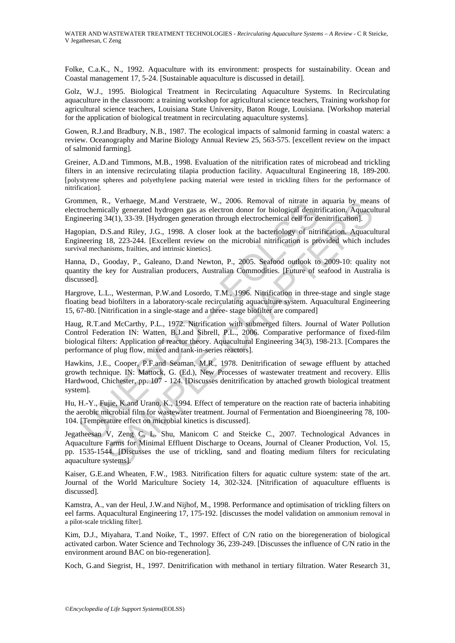Folke, C.a.K., N., 1992. Aquaculture with its environment: prospects for sustainability. Ocean and Coastal management 17, 5-24. [Sustainable aquaculture is discussed in detail].

Golz, W.J., 1995. Biological Treatment in Recirculating Aquaculture Systems. In Recirculating aquaculture in the classroom: a training workshop for agricultural science teachers, Training workshop for agricultural science teachers, Louisiana State University, Baton Rouge, Louisiana. [Workshop material for the application of biological treatment in recirculating aquaculture systems].

Gowen, R.J.and Bradbury, N.B., 1987. The ecological impacts of salmonid farming in coastal waters: a review. Oceanography and Marine Biology Annual Review 25, 563-575. [excellent review on the impact of salmonid farming].

Greiner, A.D.and Timmons, M.B., 1998. Evaluation of the nitrification rates of microbead and trickling filters in an intensive recirculating tilapia production facility. Aquacultural Engineering 18, 189-200. [polystyrene spheres and polyethylene packing material were tested in trickling filters for the performance of nitrification].

Grommen, R., Verhaege, M.and Verstraete, W., 2006. Removal of nitrate in aquaria by means of electrochemically generated hydrogen gas as electron donor for biological denitrification. Aquacultural Engineering 34(1), 33-39. [Hydrogen generation through electrochemical cell for denitrification].

Hagopian, D.S.and Riley, J.G., 1998. A closer look at the bacteriology of nitrification. Aquacultural Engineering 18, 223-244. [Excellent review on the microbial nitrification is provided which includes survival mechanisms, frailties, and intrinsic kinetics].

Hanna, D., Gooday, P., Galeano, D.and Newton, P., 2005. Seafood outlook to 2009-10: quality not quantity the key for Australian producers, Australian Commodities. [Future of seafood in Australia is discussed].

Hargrove, L.L., Westerman, P.W.and Losordo, T.M., 1996. Nitrification in three-stage and single stage floating bead biofilters in a laboratory-scale recirculating aquaculture system. Aquacultural Engineering 15, 67-80. [Nitrification in a single-stage and a three- stage biofilter are compared]

mom, K., vernaege, M.a.na Verstreate, W., 2000. Kemoval or intrate in<br>rochemicially generated hydrogen gas as electron donor for biological denitrineering 34(1), 33-39. [Hydrogen generation through electrochemical cell for L, Verhaege, M.and Verstratet, W., 2006. Nemoval of mirate in aquaran by mean and Verstrate, W., 2006. Nemoval of mirate in aquareal plygnerated hydrogen gas as electron donor for biological denitrification, Aquacu 34(1), Haug, R.T.and McCarthy, P.L., 1972. Nitrification with submerged filters. Journal of Water Pollution Control Federation IN: Watten, B.J.and Sibrell, P.L., 2006. Comparative performance of fixed-film biological filters: Application of reactor theory. Aquacultural Engineering 34(3), 198-213. [Compares the performance of plug flow, mixed and tank-in-series reactors].

Hawkins, J.E., Cooper, P.F.and Seaman, M.R., 1978. Denitrification of sewage effluent by attached growth technique. IN: Mattock, G. (Ed.), New Processes of wastewater treatment and recovery. Ellis Hardwood, Chichester, pp. 107 - 124. [Discusses denitrification by attached growth biological treatment system].

Hu, H.-Y., Fujie, K.and Urano, K., 1994. Effect of temperature on the reaction rate of bacteria inhabiting the aerobic microbial film for wastewater treatment. Journal of Fermentation and Bioengineering 78, 100- 104. [Temperature effect on microbial kinetics is discussed].

Jegatheesan V, Zeng C, L. Shu, Manicom C and Steicke C., 2007. Technological Advances in Aquaculture Farms for Minimal Effluent Discharge to Oceans, Journal of Cleaner Production, Vol. 15, pp. 1535-1544. [Discusses the use of trickling, sand and floating medium filters for reciculating aquaculture systems].

Kaiser, G.E.and Wheaten, F.W., 1983. Nitrification filters for aquatic culture system: state of the art. Journal of the World Mariculture Society 14, 302-324. [Nitrification of aquaculture effluents is discussed].

Kamstra, A., van der Heul, J.W.and Nijhof, M., 1998. Performance and optimisation of trickling filters on eel farms. Aquacultural Engineering 17, 175-192. [discusses the model validation on ammonium removal in a pilot-scale trickling filter].

Kim, D.J., Miyahara, T.and Noike, T., 1997. Effect of C/N ratio on the bioregeneration of biological activated carbon. Water Science and Technology 36, 239-249. [Discusses the influence of C/N ratio in the environment around BAC on bio-regeneration].

Koch, G.and Siegrist, H., 1997. Denitrification with methanol in tertiary filtration. Water Research 31,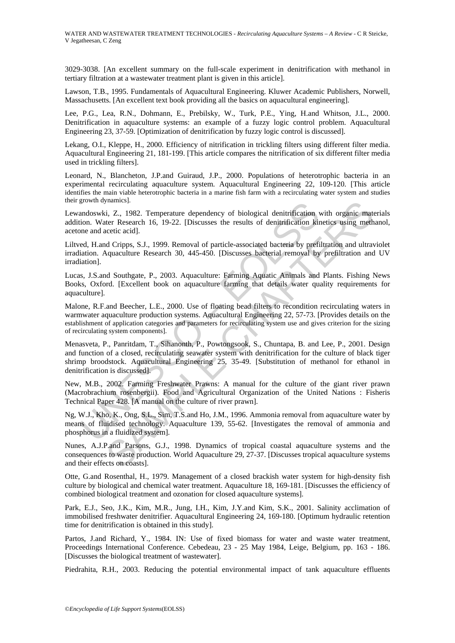3029-3038. [An excellent summary on the full-scale experiment in denitrification with methanol in tertiary filtration at a wastewater treatment plant is given in this article].

Lawson, T.B., 1995. Fundamentals of Aquacultural Engineering. Kluwer Academic Publishers, Norwell, Massachusetts. [An excellent text book providing all the basics on aquacultural engineering].

Lee, P.G., Lea, R.N., Dohmann, E., Prebilsky, W., Turk, P.E., Ying, H.and Whitson, J.L., 2000. Denitrification in aquaculture systems: an example of a fuzzy logic control problem. Aquacultural Engineering 23, 37-59. [Optimization of denitrification by fuzzy logic control is discussed].

Lekang, O.I., Kleppe, H., 2000. Efficiency of nitrification in trickling filters using different filter media. Aquacultural Engineering 21, 181-199. [This article compares the nitrification of six different filter media used in trickling filters].

Leonard, N., Blancheton, J.P.and Guiraud, J.P., 2000. Populations of heterotrophic bacteria in an experimental recirculating aquaculture system. Aquacultural Engineering 22, 109-120. [This article identifies the main viable heterotrophic bacteria in a marine fish farm with a recirculating water system and studies their growth dynamics].

Lewandoswki, Z., 1982. Temperature dependency of biological denitrification with organic materials addition. Water Research 16, 19-22. [Discusses the results of denitrification kinetics using methanol, acetone and acetic acid].

Liltved, H.and Cripps, S.J., 1999. Removal of particle-associated bacteria by prefiltration and ultraviolet irradiation. Aquaculture Research 30, 445-450. [Discusses bacterial removal by prefiltration and UV irradiation].

Lucas, J.S.and Southgate, P., 2003. Aquaculture: Farming Aquatic Animals and Plants. Fishing News Books, Oxford. [Excellent book on aquaculture farming that details water quality requirements for aquaculture].

Malone, R.F.and Beecher, L.E., 2000. Use of floating bead filters to recondition recirculating waters in warmwater aquaculture production systems. Aquacultural Engineering 22, 57-73. [Provides details on the establishment of application categories and parameters for recirculating system use and gives criterion for the sizing of recirculating system components].

grown aynamics].<br>
andosovki, Z., 1982. Temperature dependency of biological denitrification wholes. T., 1982. Temperature dependency of biological denitrification kine<br>
and active active active in the secondary of particle Trainies).<br>
i. Z., 1982. Temperature dependency of biological denitrification with organic matater Research 16, 19-22. [Discusses the results of denitrification kinetics using methectic acid].<br>
Let Research 16, 19-22. [Dis Menasveta, P., Panritdam, T., Sihanonth, P., Powtongsook, S., Chuntapa, B. and Lee, P., 2001. Design and function of a closed, recirculating seawater system with denitrification for the culture of black tiger shrimp broodstock. Aquacultural Engineering 25, 35-49. [Substitution of methanol for ethanol in denitrification is discussed].

New, M.B., 2002. Farming Freshwater Prawns: A manual for the culture of the giant river prawn (Macrobrachium rosenbergii). Food and Agricultural Organization of the United Nations : Fisheris Technical Paper 428. [A manual on the culture of river prawn].

Ng, W.J., Kho, K., Ong, S.L., Sim, T.S.and Ho, J.M., 1996. Ammonia removal from aquaculture water by means of fluidised technology. Aquaculture 139, 55-62. [Investigates the removal of ammonia and phosphorus in a fluidized system].

Nunes, A.J.P.and Parsons, G.J., 1998. Dynamics of tropical coastal aquaculture systems and the consequences to waste production. World Aquaculture 29, 27-37. [Discusses tropical aquaculture systems and their effects on coasts].

Otte, G.and Rosenthal, H., 1979. Management of a closed brackish water system for high-density fish culture by biological and chemical water treatment. Aquaculture 18, 169-181. [Discusses the efficiency of combined biological treatment and ozonation for closed aquaculture systems].

Park, E.J., Seo, J.K., Kim, M.R., Jung, I.H., Kim, J.Y.and Kim, S.K., 2001. Salinity acclimation of immobilised freshwater denitrifier. Aquacultural Engineering 24, 169-180. [Optimum hydraulic retention time for denitrification is obtained in this study].

Partos, J.and Richard, Y., 1984. IN: Use of fixed biomass for water and waste water treatment, Proceedings International Conference. Cebedeau, 23 - 25 May 1984, Leige, Belgium, pp. 163 - 186. [Discusses the biological treatment of wastewater].

Piedrahita, R.H., 2003. Reducing the potential environmental impact of tank aquaculture effluents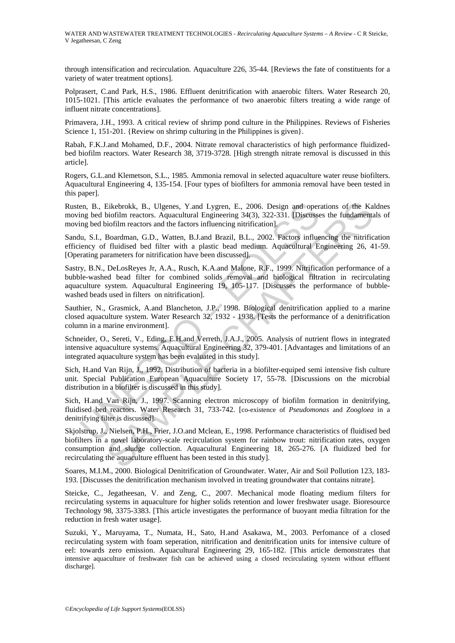through intensification and recirculation. Aquaculture 226, 35-44. [Reviews the fate of constituents for a variety of water treatment options].

Polprasert, C.and Park, H.S., 1986. Effluent denitrification with anaerobic filters. Water Research 20, 1015-1021. [This article evaluates the performance of two anaerobic filters treating a wide range of influent nitrate concentrations].

Primavera, J.H., 1993. A critical review of shrimp pond culture in the Philippines. Reviews of Fisheries Science 1, 151-201. {Review on shrimp culturing in the Philippines is given}.

Rabah, F.K.J.and Mohamed, D.F., 2004. Nitrate removal characteristics of high performance fluidizedbed biofilm reactors. Water Research 38, 3719-3728. [High strength nitrate removal is discussed in this article].

Rogers, G.L.and Klemetson, S.L., 1985. Ammonia removal in selected aquaculture water reuse biofilters. Aquacultural Engineering 4, 135-154. [Four types of biofilters for ammonia removal have been tested in this paper].

Rusten, B., Eikebrokk, B., Ulgenes, Y.and Lygren, E., 2006. Design and operations of the Kaldnes moving bed biofilm reactors. Aquacultural Engineering 34(3), 322-331. [Discusses the fundamentals of moving bed biofilm reactors and the factors influencing nitrification].

Sandu, S.I., Boardman, G.D., Watten, B.J.and Brazil, B.L., 2002. Factors influencing the nitrification efficiency of fluidised bed filter with a plastic bead medium. Aquacultural Engineering 26, 41-59. [Operating parameters for nitrification have been discussed].

en, B., Eikebrokk, B., Ulgenes, Y.and Lygren, E., 2006. Design and oper<br>ing bed biofilm reactors. Aquacultural Engineering 34(3), 322-331. [Discusse<br>ing bed biofilm reactors and the factors influencing intrification].<br>U., Eikebrokk, B., Ulgenes, Y.and Lygren, E., 2006. Design and operations of the Kabiofilm reactors. Aquacultural Engineering 34(3), 322-331. [Disecusses the fundaments incided in reactors. Aquacultural Engineering 34(3), 322-Sastry, B.N., DeLosReyes Jr, A.A., Rusch, K.A.and Malone, R.F., 1999. Nitrification performance of a bubble-washed bead filter for combined solids removal and biological filtration in recirculating aquaculture system. Aquacultural Engineering 19, 105-117. [Discusses the performance of bubblewashed beads used in filters on nitrification].

Sauthier, N., Grasmick, A.and Blancheton, J.P., 1998. Biological denitrification applied to a marine closed aquaculture system. Water Research 32, 1932 - 1938. [Tests the performance of a denitrification column in a marine environment].

Schneider, O., Sereti, V., Eding, E.H.and Verreth, J.A.J., 2005. Analysis of nutrient flows in integrated intensive aquaculture systems. Aquacultural Engineering 32, 379-401. [Advantages and limitations of an integrated aquaculture system has been evaluated in this study].

Sich, H.and Van Rijn, J., 1992. Distribution of bacteria in a biofilter-equiped semi intensive fish culture unit. Special Publication European Aquaculture Society 17, 55-78. [Discussions on the microbial distribution in a biofilter is discussed in this study].

Sich, H.and Van Rijn, J., 1997. Scanning electron microscopy of biofilm formation in denitrifying, fluidised bed reactors. Water Research 31, 733-742. [co-existence of *Pseudomonas* and *Zoogloea* in a denitrifying filter is discussed].

Skjolstrup, J., Nielsen, P.H., Frier, J.O.and Mclean, E., 1998. Performance characteristics of fluidised bed biofilters in a novel laboratory-scale recirculation system for rainbow trout: nitrification rates, oxygen consumption and sludge collection. Aquacultural Engineering 18, 265-276. [A fluidized bed for recirculating the aquaculture effluent has been tested in this study].

Soares, M.I.M., 2000. Biological Denitrification of Groundwater. Water, Air and Soil Pollution 123, 183- 193. [Discusses the denitrification mechanism involved in treating groundwater that contains nitrate].

Steicke, C., Jegatheesan, V. and Zeng, C., 2007. Mechanical mode floating medium filters for recirculating systems in aquaculture for higher solids retention and lower freshwater usage. Bioresource Technology 98, 3375-3383. [This article investigates the performance of buoyant media filtration for the reduction in fresh water usage].

Suzuki, Y., Maruyama, T., Numata, H., Sato, H.and Asakawa, M., 2003. Perfomance of a closed recirculating system with foam seperation, nitrification and denitrification units for intensive culture of eel: towards zero emission. Aquacultural Engineering 29, 165-182. [This article demonstrates that intensive aquaculture of freshwater fish can be achieved using a closed recirculating system without effluent discharge].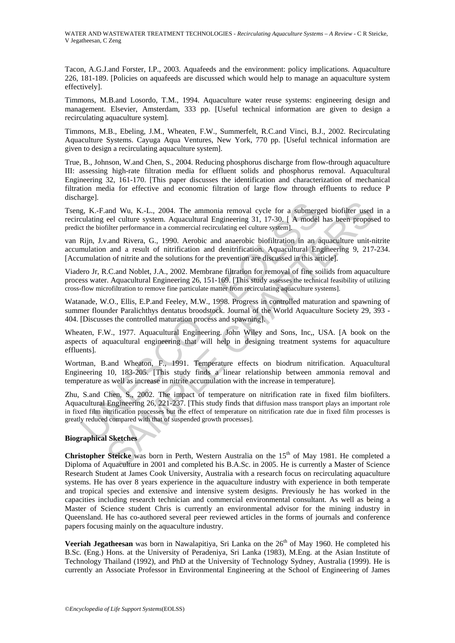WATER AND WASTEWATER TREATMENT TECHNOLOGIES - *Recirculating Aquaculture Systems – A Review* - C R Steicke, V Jegatheesan, C Zeng

Tacon, A.G.J.and Forster, I.P., 2003. Aquafeeds and the environment: policy implications. Aquaculture 226, 181-189. [Policies on aquafeeds are discussed which would help to manage an aquaculture system effectively].

Timmons, M.B.and Losordo, T.M., 1994. Aquaculture water reuse systems: engineering design and management. Elsevier, Amsterdam, 333 pp. [Useful technical information are given to design a recirculating aquaculture system].

Timmons, M.B., Ebeling, J.M., Wheaten, F.W., Summerfelt, R.C.and Vinci, B.J., 2002. Recirculating Aquaculture Systems. Cayuga Aqua Ventures, New York, 770 pp. [Useful technical information are given to design a recirculating aquaculture system].

True, B., Johnson, W.and Chen, S., 2004. Reducing phosphorus discharge from flow-through aquaculture III: assessing high-rate filtration media for effluent solids and phosphorus removal. Aquacultural Engineering 32, 161-170. [This paper discusses the identification and characterization of mechanical filtration media for effective and economic filtration of large flow through effluents to reduce P discharge].

Tseng, K.-F.and Wu, K.-L., 2004. The ammonia removal cycle for a submerged biofilter used in a recirculating eel culture system. Aquacultural Engineering 31, 17-30. [ A model has been proposed to predict the biofilter performance in a commercial recirculating eel culture system].

van Rijn, J.v.and Rivera, G., 1990. Aerobic and anaerobic biofiltration in an aquaculture unit-nitrite accumulation and a result of nitrification and denitrification. Aquacultural Engineering 9, 217-234. [Accumulation of nitrite and the solutions for the prevention are discussed in this article].

Viadero Jr, R.C.and Noblet, J.A., 2002. Membrane filtration for removal of fine soilids from aquaculture process water. Aquacultural Engineering 26, 151-169. [This study assesses the technical feasibility of utilizing cross-flow microfiltration to remove fine particulate matter from recirculating aquaculture systems].

Watanade, W.O., Ellis, E.P.and Feeley, M.W., 1998. Progress in controlled maturation and spawning of summer flounder Paralichthys dentatus broodstock. Journal of the World Aquaculture Society 29, 393 - 404. [Discusses the controlled maturation process and spawning].

Wheaten, F.W., 1977. Aquacultural Engineering. John Wiley and Sons, Inc,, USA. [A book on the aspects of aquacultural engineering that will help in designing treatment systems for aquaculture effluents].

Wortman, B.and Wheaton, F., 1991. Temperature effects on biodrum nitrification. Aquacultural Engineering 10, 183-205. [This study finds a linear relationship between ammonia removal and temperature as well as increase in nitrite accumulation with the increase in temperature].

g. K.-F.and Wu, K.-L., 2004. The ammonia removal cycle for a submergulating eel culture system. Aquacultural Engineering 31, 17-30. [ A model the biofilter performance in a commercial recirculating eel culture system]. Rij and Wu, K.-L., 2004. The ammonia removal cycle for a submerged biofiler used<br>ed culture system. Aquacultural Engineering 31, 17-30. [ A model has been propos-<br>neare culture performance in a commercial mecirculating eel cu Zhu, S.and Chen, S., 2002. The impact of temperature on nitrification rate in fixed film biofilters. Aquacultural Engineering 26, 221-237. [This study finds that diffusion mass transport plays an important role in fixed film nitrification processes but the effect of temperature on nitrification rate due in fixed film processes is greatly reduced compared with that of suspended growth processes].

#### **Biographical Sketches**

**Christopher Steicke** was born in Perth, Western Australia on the 15<sup>th</sup> of May 1981. He completed a Diploma of Aquaculture in 2001 and completed his B.A.Sc. in 2005. He is currently a Master of Science Research Student at James Cook University, Australia with a research focus on recirculating aquaculture systems. He has over 8 years experience in the aquaculture industry with experience in both temperate and tropical species and extensive and intensive system designs. Previously he has worked in the capacities including research technician and commercial environmental consultant. As well as being a Master of Science student Chris is currently an environmental advisor for the mining industry in Queensland. He has co-authored several peer reviewed articles in the forms of journals and conference papers focusing mainly on the aquaculture industry.

**Veeriah Jegatheesan** was born in Nawalapitiya, Sri Lanka on the 26<sup>th</sup> of May 1960. He completed his B.Sc. (Eng.) Hons. at the University of Peradeniya, Sri Lanka (1983), M.Eng. at the Asian Institute of Technology Thailand (1992), and PhD at the University of Technology Sydney, Australia (1999). He is currently an Associate Professor in Environmental Engineering at the School of Engineering of James